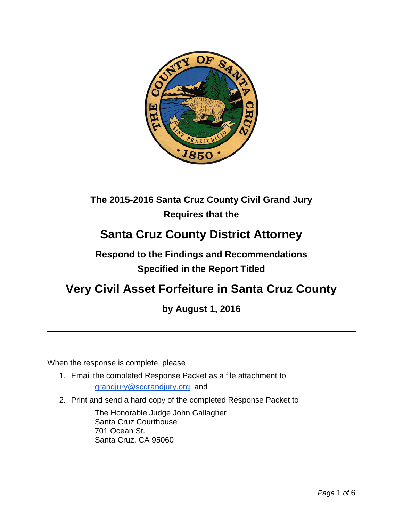

## **The 2015-2016 Santa Cruz County Civil Grand Jury Requires that the**

# **Santa Cruz County District Attorney**

## **Respond to the Findings and Recommendations Specified in the Report Titled**

# **Very Civil Asset Forfeiture in Santa Cruz County**

## **by August 1, 2016**

When the response is complete, please

- 1. Email the completed Response Packet as a file attachment to [grandjury@scgrandjury.org,](mailto:grandjury@scgrandjury.org) and
- 2. Print and send a hard copy of the completed Response Packet to

The Honorable Judge John Gallagher Santa Cruz Courthouse 701 Ocean St. Santa Cruz, CA 95060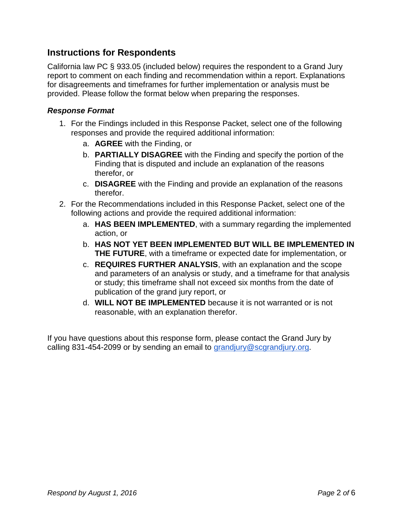#### **Instructions for Respondents**

California law PC § 933.05 (included below) requires the respondent to a Grand Jury report to comment on each finding and recommendation within a report. Explanations for disagreements and timeframes for further implementation or analysis must be provided. Please follow the format below when preparing the responses.

#### *Response Format*

- 1. For the Findings included in this Response Packet, select one of the following responses and provide the required additional information:
	- a. **AGREE** with the Finding, or
	- b. **PARTIALLY DISAGREE** with the Finding and specify the portion of the Finding that is disputed and include an explanation of the reasons therefor, or
	- c. **DISAGREE** with the Finding and provide an explanation of the reasons therefor.
- 2. For the Recommendations included in this Response Packet, select one of the following actions and provide the required additional information:
	- a. **HAS BEEN IMPLEMENTED**, with a summary regarding the implemented action, or
	- b. **HAS NOT YET BEEN IMPLEMENTED BUT WILL BE IMPLEMENTED IN THE FUTURE**, with a timeframe or expected date for implementation, or
	- c. **REQUIRES FURTHER ANALYSIS**, with an explanation and the scope and parameters of an analysis or study, and a timeframe for that analysis or study; this timeframe shall not exceed six months from the date of publication of the grand jury report, or
	- d. **WILL NOT BE IMPLEMENTED** because it is not warranted or is not reasonable, with an explanation therefor.

If you have questions about this response form, please contact the Grand Jury by calling 831-454-2099 or by sending an email to [grandjury@scgrandjury.org.](mailto:grandjury@scgrandjury.org)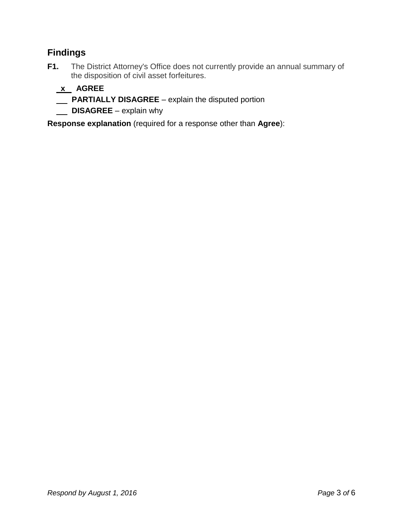### **Findings**

**F1.** The District Attorney's Office does not currently provide an annual summary of the disposition of civil asset forfeitures.

### **x AGREE**

- **PARTIALLY DISAGREE**  explain the disputed portion
- **DISAGREE** explain why

**Response explanation** (required for a response other than **Agree**):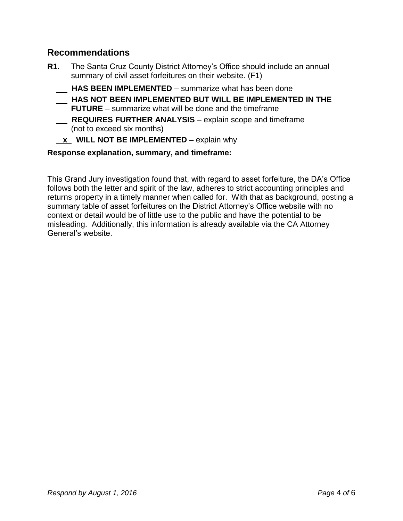#### **Recommendations**

- **R1.** The Santa Cruz County District Attorney's Office should include an annual summary of civil asset forfeitures on their website. (F1)
	- **HAS BEEN IMPLEMENTED**  summarize what has been done
	- **HAS NOT BEEN IMPLEMENTED BUT WILL BE IMPLEMENTED IN THE FUTURE** – summarize what will be done and the timeframe
	- **REQUIRES FURTHER ANALYSIS** explain scope and timeframe (not to exceed six months)
	- **x WILL NOT BE IMPLEMENTED** explain why

#### **Response explanation, summary, and timeframe:**

This Grand Jury investigation found that, with regard to asset forfeiture, the DA's Office follows both the letter and spirit of the law, adheres to strict accounting principles and returns property in a timely manner when called for. With that as background, posting a summary table of asset forfeitures on the District Attorney's Office website with no context or detail would be of little use to the public and have the potential to be misleading. Additionally, this information is already available via the CA Attorney General's website.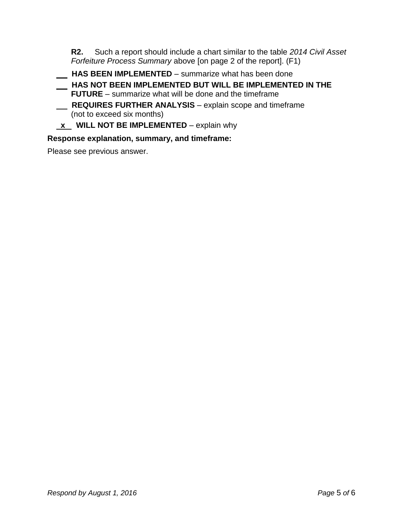**R2.** Such a report should include a chart similar to the table *2014 Civil Asset Forfeiture Process Summary* above [on page 2 of the report]. (F1)

 **HAS BEEN IMPLEMENTED** – summarize what has been done

- **HAS NOT BEEN IMPLEMENTED BUT WILL BE IMPLEMENTED IN THE FUTURE** – summarize what will be done and the timeframe
- **REQUIRES FURTHER ANALYSIS** explain scope and timeframe (not to exceed six months)
- **x** WILL NOT BE IMPLEMENTED explain why

#### **Response explanation, summary, and timeframe:**

Please see previous answer.